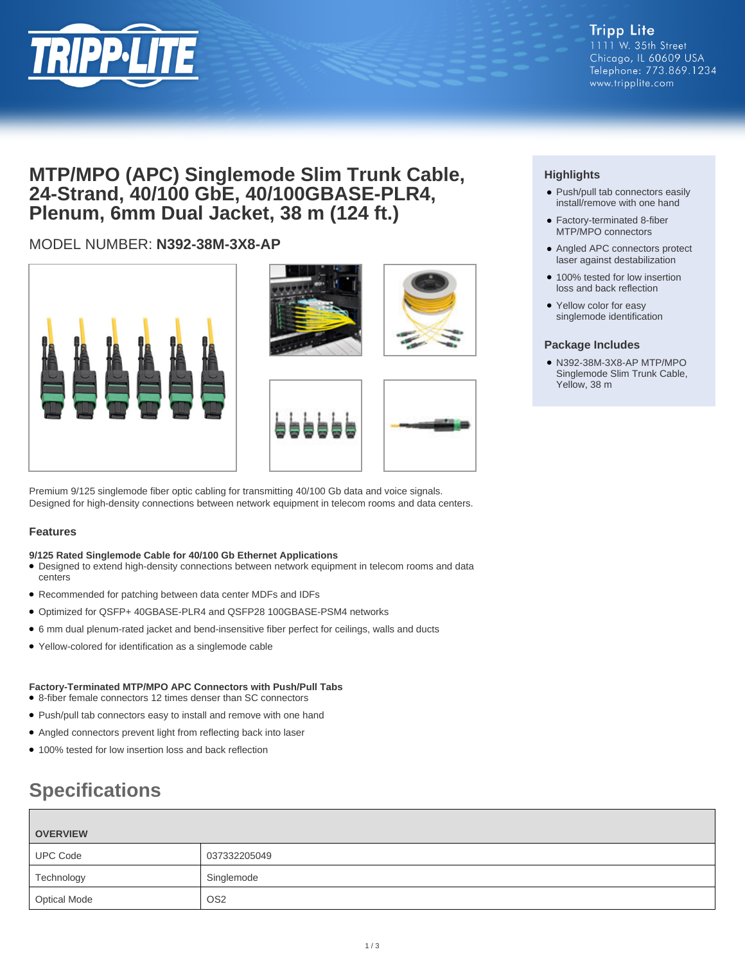

## **MTP/MPO (APC) Singlemode Slim Trunk Cable, 24-Strand, 40/100 GbE, 40/100GBASE-PLR4, Plenum, 6mm Dual Jacket, 38 m (124 ft.)**

## MODEL NUMBER: **N392-38M-3X8-AP**









Premium 9/125 singlemode fiber optic cabling for transmitting 40/100 Gb data and voice signals. Designed for high-density connections between network equipment in telecom rooms and data centers.

### **Features**

#### **9/125 Rated Singlemode Cable for 40/100 Gb Ethernet Applications**

- Designed to extend high-density connections between network equipment in telecom rooms and data centers
- Recommended for patching between data center MDFs and IDFs
- Optimized for QSFP+ 40GBASE-PLR4 and QSFP28 100GBASE-PSM4 networks
- 6 mm dual plenum-rated jacket and bend-insensitive fiber perfect for ceilings, walls and ducts
- Yellow-colored for identification as a singlemode cable

#### **Factory-Terminated MTP/MPO APC Connectors with Push/Pull Tabs** ● 8-fiber female connectors 12 times denser than SC connectors

- Push/pull tab connectors easy to install and remove with one hand
- Angled connectors prevent light from reflecting back into laser
- 100% tested for low insertion loss and back reflection

# **Specifications**

| <b>OVERVIEW</b>     |                 |
|---------------------|-----------------|
| <b>UPC Code</b>     | 037332205049    |
| Technology          | Singlemode      |
| <b>Optical Mode</b> | OS <sub>2</sub> |

## **Highlights**

- Push/pull tab connectors easily install/remove with one hand
- Factory-terminated 8-fiber MTP/MPO connectors
- Angled APC connectors protect laser against destabilization
- 100% tested for low insertion loss and back reflection
- Yellow color for easy singlemode identification

#### **Package Includes**

● N392-38M-3X8-AP MTP/MPO Singlemode Slim Trunk Cable, Yellow, 38 m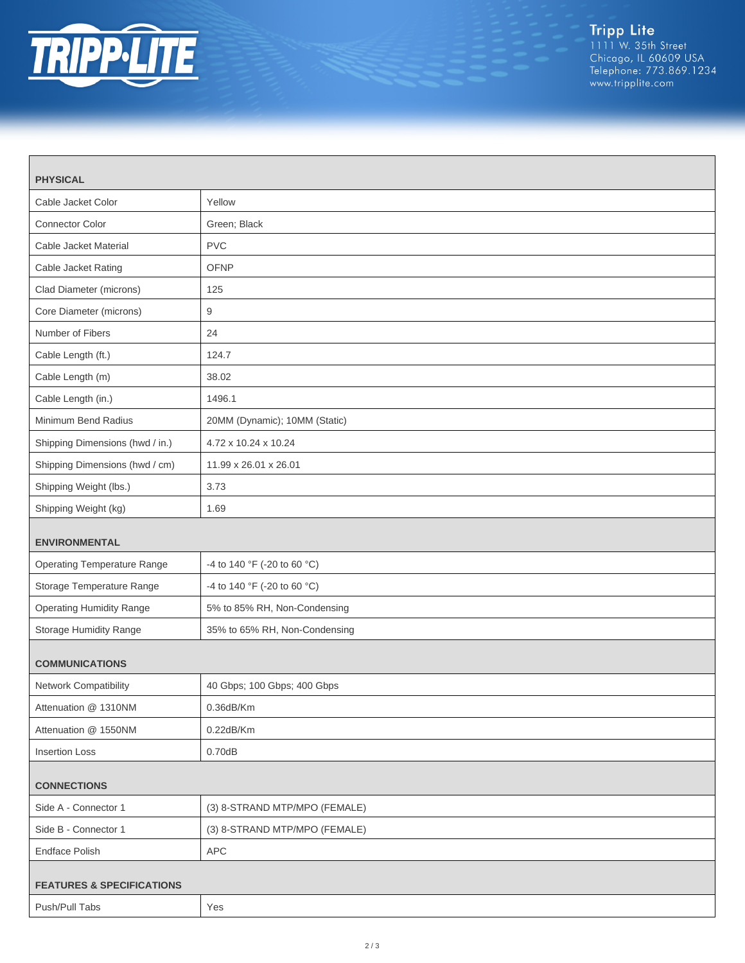

| <b>PHYSICAL</b>                      |                               |  |
|--------------------------------------|-------------------------------|--|
| Cable Jacket Color                   | Yellow                        |  |
| <b>Connector Color</b>               | Green; Black                  |  |
| Cable Jacket Material                | <b>PVC</b>                    |  |
| Cable Jacket Rating                  | <b>OFNP</b>                   |  |
| Clad Diameter (microns)              | 125                           |  |
| Core Diameter (microns)              | 9                             |  |
| Number of Fibers                     | 24                            |  |
| Cable Length (ft.)                   | 124.7                         |  |
| Cable Length (m)                     | 38.02                         |  |
| Cable Length (in.)                   | 1496.1                        |  |
| Minimum Bend Radius                  | 20MM (Dynamic); 10MM (Static) |  |
| Shipping Dimensions (hwd / in.)      | 4.72 x 10.24 x 10.24          |  |
| Shipping Dimensions (hwd / cm)       | 11.99 x 26.01 x 26.01         |  |
| Shipping Weight (lbs.)               | 3.73                          |  |
| Shipping Weight (kg)                 | 1.69                          |  |
| <b>ENVIRONMENTAL</b>                 |                               |  |
| <b>Operating Temperature Range</b>   | -4 to 140 °F (-20 to 60 °C)   |  |
| Storage Temperature Range            | -4 to 140 °F (-20 to 60 °C)   |  |
| <b>Operating Humidity Range</b>      | 5% to 85% RH, Non-Condensing  |  |
| Storage Humidity Range               | 35% to 65% RH, Non-Condensing |  |
| <b>COMMUNICATIONS</b>                |                               |  |
| Network Compatibility                | 40 Gbps; 100 Gbps; 400 Gbps   |  |
| Attenuation @ 1310NM                 | $0.36$ d $B/Km$               |  |
| Attenuation @ 1550NM                 | $0.22$ dB/Km                  |  |
| <b>Insertion Loss</b>                | 0.70dB                        |  |
| <b>CONNECTIONS</b>                   |                               |  |
| Side A - Connector 1                 | (3) 8-STRAND MTP/MPO (FEMALE) |  |
| Side B - Connector 1                 | (3) 8-STRAND MTP/MPO (FEMALE) |  |
| <b>Endface Polish</b>                | APC                           |  |
| <b>FEATURES &amp; SPECIFICATIONS</b> |                               |  |
| Push/Pull Tabs                       | Yes                           |  |